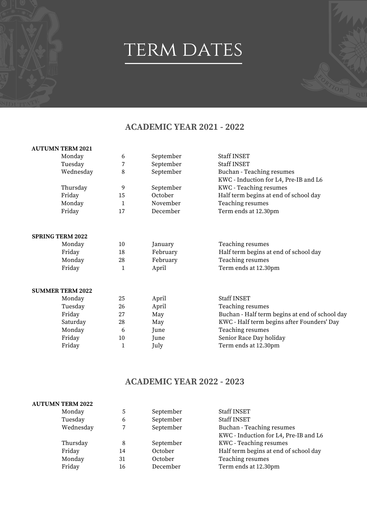## TERM DATES

## **ACADEMIC YEAR 2021 - 2022**

#### **AUTUMN TERM 2021**

| Monday    | 6  | September | Staff INSET                           |
|-----------|----|-----------|---------------------------------------|
| Tuesday   |    | September | <b>Staff INSET</b>                    |
| Wednesday | 8  | September | Buchan - Teaching resumes             |
|           |    |           | KWC - Induction for L4, Pre-IB and L6 |
| Thursday  | 9  | September | <b>KWC</b> - Teaching resumes         |
| Friday    | 15 | October   | Half term begins at end of school day |
| Monday    |    | November  | Teaching resumes                      |
| Friday    | 17 | December  | Term ends at 12.30pm                  |
|           |    |           |                                       |

#### **SPRING TERM 2022**

|                          | Teaching resumes                      |
|--------------------------|---------------------------------------|
| Friday<br>February       | Half term begins at end of school day |
| Monday<br>28<br>February | Teaching resumes                      |
| Friday<br>April          | Term ends at 12.30pm                  |

#### **SUMMER TERM 2022**

| Monday   | 25 | April | <b>Staff INSET</b>                             |
|----------|----|-------|------------------------------------------------|
| Tuesday  | 26 | April | Teaching resumes                               |
| Friday   | 27 | May   | Buchan - Half term begins at end of school day |
| Saturday | 28 | May   | KWC - Half term begins after Founders' Day     |
| Monday   | b  | June  | Teaching resumes                               |
| Friday   | 10 | June  | Senior Race Day holiday                        |
| Friday   |    | July  | Term ends at 12.30pm                           |

### **ACADEMIC YEAR 2022 - 2023**

#### **AUTUMN TERM 2022**

| Monday    | 5  | September | Staff INSET                           |
|-----------|----|-----------|---------------------------------------|
| Tuesday   | 6  | September | <b>Staff INSET</b>                    |
| Wednesday |    | September | Buchan - Teaching resumes             |
|           |    |           | KWC - Induction for L4, Pre-IB and L6 |
| Thursday  | 8  | September | KWC - Teaching resumes                |
| Friday    | 14 | October   | Half term begins at end of school day |
| Monday    | 31 | October   | Teaching resumes                      |
| Friday    | 16 | December  | Term ends at 12.30pm                  |